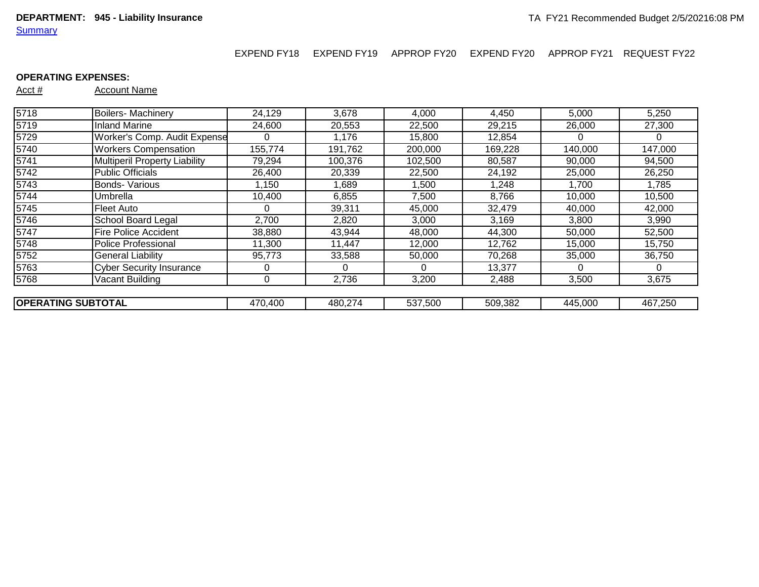EXPEND FY18 EXPEND FY19 APPROP FY20 EXPEND FY20 APPROP FY21 REQUEST FY22

## **OPERATING EXPENSES:**

| 5718                      | <b>Boilers-Machinery</b>        | 24,129  | 3,678   | 4,000   | 4,450   | 5,000    | 5,250   |
|---------------------------|---------------------------------|---------|---------|---------|---------|----------|---------|
| 5719                      | <b>Inland Marine</b>            | 24,600  | 20,553  | 22,500  | 29,215  | 26,000   | 27,300  |
| 5729                      | Worker's Comp. Audit Expense    |         | 1,176   | 15,800  | 12,854  | $\theta$ | 0       |
| 5740                      | <b>Workers Compensation</b>     | 155,774 | 191,762 | 200,000 | 169,228 | 140,000  | 147,000 |
| 5741                      | Multiperil Property Liability   | 79,294  | 100,376 | 102,500 | 80,587  | 90,000   | 94,500  |
| 5742                      | <b>Public Officials</b>         | 26,400  | 20,339  | 22,500  | 24,192  | 25,000   | 26,250  |
| 5743                      | <b>Bonds- Various</b>           | 1,150   | 1,689   | 1,500   | 1,248   | 1,700    | 1,785   |
| 5744                      | Umbrella                        | 10,400  | 6,855   | 7,500   | 8,766   | 10,000   | 10,500  |
| 5745                      | Fleet Auto                      |         | 39,311  | 45,000  | 32,479  | 40,000   | 42,000  |
| 5746                      | <b>School Board Legal</b>       | 2,700   | 2,820   | 3,000   | 3,169   | 3,800    | 3,990   |
| 5747                      | <b>Fire Police Accident</b>     | 38,880  | 43,944  | 48,000  | 44,300  | 50,000   | 52,500  |
| 5748                      | Police Professional             | 11,300  | 11.447  | 12,000  | 12,762  | 15,000   | 15,750  |
| 5752                      | <b>General Liability</b>        | 95,773  | 33,588  | 50,000  | 70,268  | 35,000   | 36,750  |
| 5763                      | <b>Cyber Security Insurance</b> |         |         | 0       | 13,377  | 0        | 0       |
| 5768                      | Vacant Building                 | 0       | 2,736   | 3,200   | 2,488   | 3,500    | 3,675   |
|                           |                                 |         |         |         |         |          |         |
| <b>OPERATING SUBTOTAL</b> |                                 | 470,400 | 480,274 | 537,500 | 509,382 | 445,000  | 467,250 |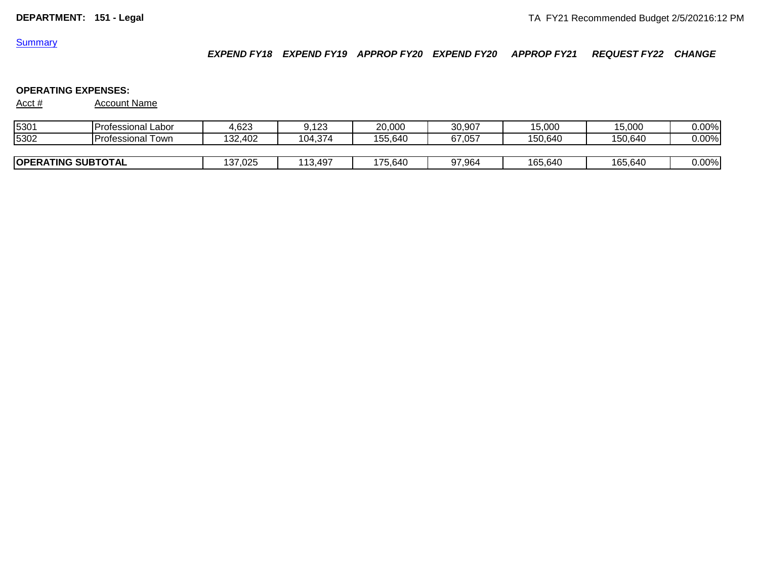*EXPEND FY18 EXPEND FY19 APPROP FY20 EXPEND FY20 APPROP FY21 REQUEST FY22 CHANGE*

# **OPERATING EXPENSES:**

| 5301                      | <b>Professional Labor</b> | 4,623   | 9.123   | 20,000  | 30,907 | 15,000  | 15,000  | 0.00%    |
|---------------------------|---------------------------|---------|---------|---------|--------|---------|---------|----------|
| 5302                      | `Town<br>Professional     | 132,402 | 104,374 | 155.640 | 67.057 | 150.640 | 150.640 | $0.00\%$ |
|                           |                           |         |         |         |        |         |         |          |
| <b>OPERATING SUBTOTAL</b> |                           | 137,025 | 113,497 | 175.640 | 97,964 | 165,640 | 165,640 | 0.00%    |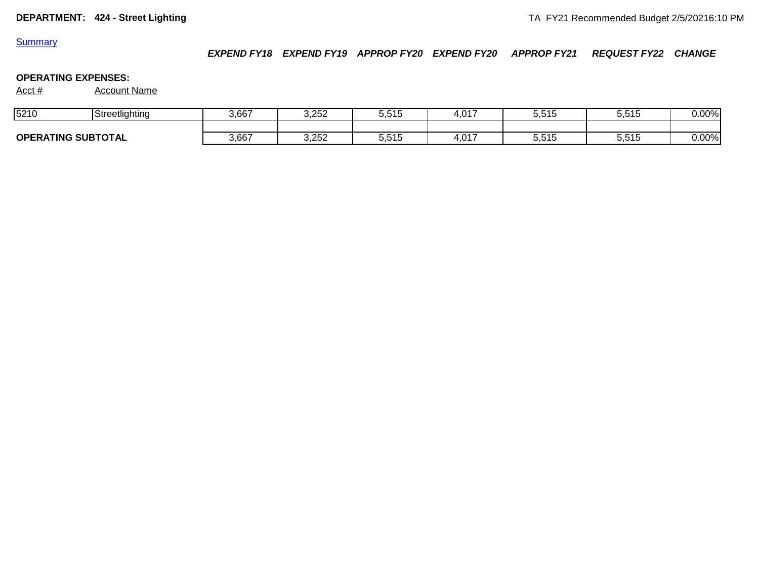*EXPEND FY18 EXPEND FY19 APPROP FY20 EXPEND FY20 APPROP FY21 REQUEST FY22 CHANGE*

## **OPERATING EXPENSES:**

| 5210                                | Streetlighting<br>oueeuig | 3,667 | 3,252 | 5515<br>، ا ل | . 017<br>+.v | 7. E 4. E<br>ວ.ວ ເວ | 5515<br><b>U.U.U</b> | 0.00% |
|-------------------------------------|---------------------------|-------|-------|---------------|--------------|---------------------|----------------------|-------|
|                                     |                           |       |       |               |              |                     |                      |       |
| <b>SUBTOTAL</b><br><b>OPERATING</b> |                           | 3,667 | 3,252 | 5,515         | .017<br>ו שר | .<br>5.5TS          | 5,515                | 0.00% |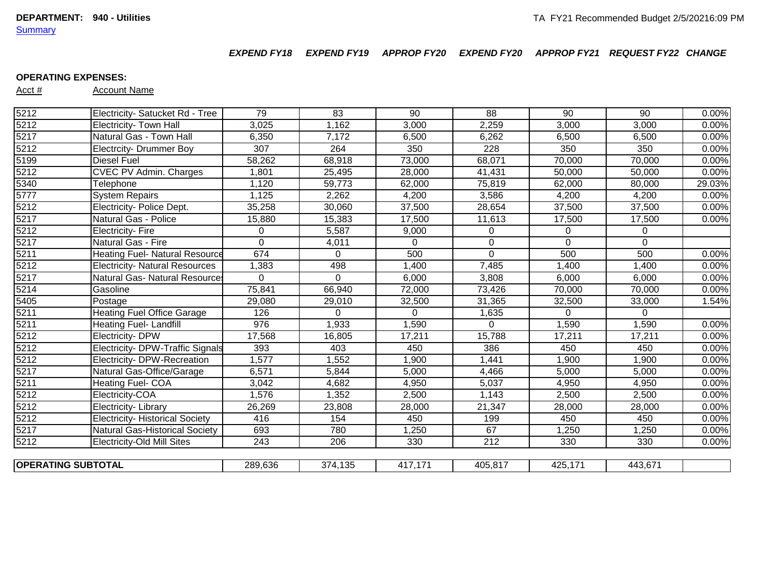*EXPEND FY18 EXPEND FY19 APPROP FY20 EXPEND FY20 APPROP FY21 REQUEST FY22 CHANGE*

#### **OPERATING EXPENSES:**

|                   | <b>OPERATING SUBTOTAL</b>              | 289,636          | 374,135  | 417,171             | 405,817     | 425,171  | 443,671     |        |
|-------------------|----------------------------------------|------------------|----------|---------------------|-------------|----------|-------------|--------|
| 5212              | <b>Electricity-Old Mill Sites</b>      | 243              | 206      | 330                 | 212         | 330      | 330         | 0.00%  |
| 5217              | Natural Gas-Historical Society         | 693              | 780      | 1,250               | 67          | 1,250    | 1,250       | 0.00%  |
| 5212              | <b>Electricity- Historical Society</b> | 416              | 154      | 450                 | 199         | 450      | 450         | 0.00%  |
| 5212              | Electricity-Library                    | 26,269           | 23,808   | 28,000              | 21,347      | 28,000   | 28,000      | 0.00%  |
| 5212              | Electricity-COA                        | 1,576            | 1,352    | 2,500               | 1,143       | 2,500    | 2,500       | 0.00%  |
| 5211              | Heating Fuel- COA                      | 3,042            | 4,682    | 4,950               | 5,037       | 4,950    | 4,950       | 0.00%  |
| 5217              | Natural Gas-Office/Garage              | 6,571            | 5,844    | 5,000               | 4,466       | 5,000    | 5,000       | 0.00%  |
| 5212              | Electricity- DPW-Recreation            | 1,577            | 1,552    | 1,900               | 1,441       | 1,900    | 1,900       | 0.00%  |
| 5212              | Electricity- DPW-Traffic Signals       | 393              | 403      | 450                 | 386         | 450      | 450         | 0.00%  |
| 5212              | <b>Electricity- DPW</b>                | 17,568           | 16,805   | 17,211              | 15,788      | 17,211   | 17,211      | 0.00%  |
| 5211              | Heating Fuel-Landfill                  | 976              | 1,933    | 1,590               | $\Omega$    | 1,590    | 1,590       | 0.00%  |
| 5211              | <b>Heating Fuel Office Garage</b>      | 126              | $\Omega$ | $\Omega$            | 1,635       | $\Omega$ | $\Omega$    |        |
| 5405              | Postage                                | 29,080           | 29,010   | 32,500              | 31,365      | 32,500   | 33,000      | 1.54%  |
| 5214              | Gasoline                               | 75,841           | 66,940   | $\overline{72,000}$ | 73,426      | 70,000   | 70,000      | 0.00%  |
| 5217              | <b>Natural Gas- Natural Resource:</b>  | 0                | $\Omega$ | 6,000               | 3,808       | 6,000    | 6,000       | 0.00%  |
| 5212              | <b>Electricity- Natural Resources</b>  | 1,383            | 498      | 1,400               | 7,485       | 1,400    | 1,400       | 0.00%  |
| 5211              | <b>Heating Fuel- Natural Resource</b>  | 674              | $\Omega$ | 500                 | $\mathbf 0$ | 500      | 500         | 0.00%  |
| 5217              | Natural Gas - Fire                     | 0                | 4,011    | $\mathbf 0$         | $\mathbf 0$ | $\Omega$ | $\mathbf 0$ |        |
| 5212              | <b>Electricity-Fire</b>                | $\Omega$         | 5,587    | 9,000               | 0           | $\Omega$ | 0           |        |
| $\overline{5217}$ | Natural Gas - Police                   | 15,880           | 15,383   | 17,500              | 11,613      | 17,500   | 17,500      | 0.00%  |
| 5212              | Electricity- Police Dept.              | 35,258           | 30,060   | 37,500              | 28,654      | 37,500   | 37,500      | 0.00%  |
| 5777              | <b>System Repairs</b>                  | 1,125            | 2,262    | 4,200               | 3,586       | 4,200    | 4,200       | 0.00%  |
| 5340              | Telephone                              | 1,120            | 59,773   | 62,000              | 75,819      | 62,000   | 80,000      | 29.03% |
| 5212              | <b>CVEC PV Admin. Charges</b>          | 1,801            | 25,495   | 28,000              | 41,431      | 50,000   | 50,000      | 0.00%  |
| $\overline{5199}$ | <b>Diesel Fuel</b>                     | 58,262           | 68,918   | 73,000              | 68,071      | 70,000   | 70,000      | 0.00%  |
| 5212              | <b>Electrcity- Drummer Boy</b>         | $\overline{307}$ | 264      | 350                 | 228         | 350      | 350         | 0.00%  |
| 5217              | Natural Gas - Town Hall                | 6,350            | 7,172    | 6,500               | 6,262       | 6,500    | 6,500       | 0.00%  |
| 5212              | Electricity- Town Hall                 | 3,025            | 1,162    | 3,000               | 2,259       | 3,000    | 3,000       | 0.00%  |
| 5212              | Electricity- Satucket Rd - Tree        | 79               | 83       | 90                  | 88          | 90       | 90          | 0.00%  |
|                   |                                        |                  |          |                     |             |          |             |        |